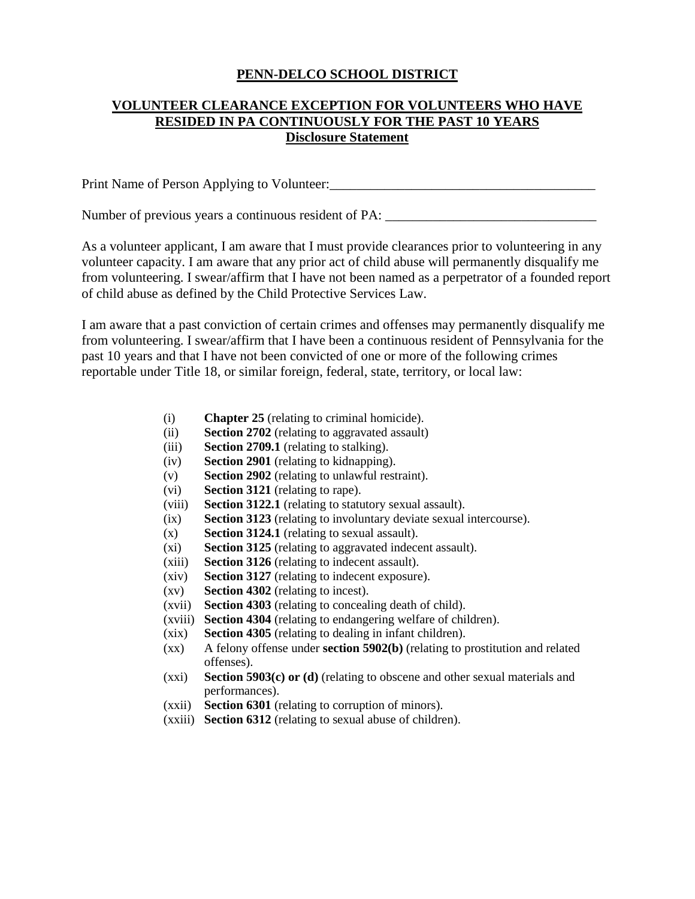## **PENN-DELCO SCHOOL DISTRICT**

## **VOLUNTEER CLEARANCE EXCEPTION FOR VOLUNTEERS WHO HAVE RESIDED IN PA CONTINUOUSLY FOR THE PAST 10 YEARS Disclosure Statement**

Print Name of Person Applying to Volunteer:\_\_\_\_\_\_\_\_\_\_\_\_\_\_\_\_\_\_\_\_\_\_\_\_\_\_\_\_\_\_\_\_\_\_\_\_\_\_\_

Number of previous years a continuous resident of PA:

As a volunteer applicant, I am aware that I must provide clearances prior to volunteering in any volunteer capacity. I am aware that any prior act of child abuse will permanently disqualify me from volunteering. I swear/affirm that I have not been named as a perpetrator of a founded report of child abuse as defined by the Child Protective Services Law.

I am aware that a past conviction of certain crimes and offenses may permanently disqualify me from volunteering. I swear/affirm that I have been a continuous resident of Pennsylvania for the past 10 years and that I have not been convicted of one or more of the following crimes reportable under Title 18, or similar foreign, federal, state, territory, or local law:

- (i) **Chapter 25** (relating to criminal homicide).
- (ii) **Section 2702** (relating to aggravated assault)
- (iii) **Section 2709.1** (relating to stalking).
- (iv) **Section 2901** (relating to kidnapping).
- (v) **Section 2902** (relating to unlawful restraint).
- (vi) **Section 3121** (relating to rape).
- (viii) **Section 3122.1** (relating to statutory sexual assault).
- (ix) **Section 3123** (relating to involuntary deviate sexual intercourse).
- (x) **Section 3124.1** (relating to sexual assault).
- (xi) **Section 3125** (relating to aggravated indecent assault).
- (xiii) **Section 3126** (relating to indecent assault).
- (xiv) **Section 3127** (relating to indecent exposure).
- (xv) **Section 4302** (relating to incest).
- (xvii) **Section 4303** (relating to concealing death of child).
- (xviii) **Section 4304** (relating to endangering welfare of children).
- (xix) **Section 4305** (relating to dealing in infant children).
- (xx) A felony offense under **section 5902(b)** (relating to prostitution and related offenses).
- (xxi) **Section 5903(c) or (d)** (relating to obscene and other sexual materials and performances).
- (xxii) **Section 6301** (relating to corruption of minors).
- (xxiii) **Section 6312** (relating to sexual abuse of children).